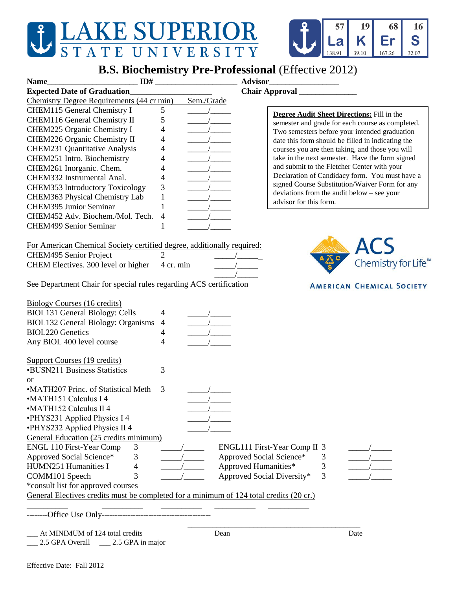## J LAKE SUPERIOR STATE UNIVERSITY



## **B.S. Biochemistry Pre-Professional** (Effective 2012)

| ID#<br><b>Name</b>                                                                      |                          |            | <b>Advisor</b>               |   |                                                                                                    |
|-----------------------------------------------------------------------------------------|--------------------------|------------|------------------------------|---|----------------------------------------------------------------------------------------------------|
| <b>Expected Date of Graduation</b>                                                      |                          |            | Chair Approval               |   |                                                                                                    |
| Chemistry Degree Requirements (44 cr min)                                               |                          | Sem./Grade |                              |   |                                                                                                    |
| CHEM115 General Chemistry I                                                             | 5                        |            |                              |   |                                                                                                    |
| CHEM116 General Chemistry II                                                            | 5                        |            |                              |   | <b>Degree Audit Sheet Directions:</b> Fill in the                                                  |
| CHEM225 Organic Chemistry I                                                             | 4                        |            |                              |   | semester and grade for each course as completed.                                                   |
| CHEM226 Organic Chemistry II                                                            | 4                        |            |                              |   | Two semesters before your intended graduation                                                      |
| <b>CHEM231 Quantitative Analysis</b>                                                    |                          |            |                              |   | date this form should be filled in indicating the                                                  |
|                                                                                         | 4                        |            |                              |   | courses you are then taking, and those you will<br>take in the next semester. Have the form signed |
| CHEM251 Intro. Biochemistry                                                             | 4                        |            |                              |   | and submit to the Fletcher Center with your                                                        |
| CHEM261 Inorganic. Chem.                                                                | 4                        |            |                              |   | Declaration of Candidacy form. You must have a                                                     |
| CHEM332 Instrumental Anal.                                                              | 4                        |            |                              |   | signed Course Substitution/Waiver Form for any                                                     |
| <b>CHEM353 Introductory Toxicology</b>                                                  | 3                        |            |                              |   | deviations from the audit below - see your                                                         |
| CHEM363 Physical Chemistry Lab                                                          | 1                        |            | advisor for this form.       |   |                                                                                                    |
| <b>CHEM395 Junior Seminar</b>                                                           | 1                        |            |                              |   |                                                                                                    |
| CHEM452 Adv. Biochem./Mol. Tech.                                                        | $\overline{\mathcal{A}}$ |            |                              |   |                                                                                                    |
| <b>CHEM499 Senior Seminar</b>                                                           | 1                        |            |                              |   |                                                                                                    |
| For American Chemical Society certified degree, additionally required:                  |                          |            |                              |   |                                                                                                    |
|                                                                                         | $\overline{2}$           |            |                              |   | ACS                                                                                                |
| CHEM495 Senior Project                                                                  |                          |            |                              |   | Chemistry for Life <sup>™</sup>                                                                    |
| CHEM Electives. 300 level or higher                                                     | 4 cr. min                |            |                              |   |                                                                                                    |
| See Department Chair for special rules regarding ACS certification                      |                          |            |                              |   | <b>AMERICAN CHEMICAL SOCIETY</b>                                                                   |
| <b>Biology Courses (16 credits)</b>                                                     |                          |            |                              |   |                                                                                                    |
| <b>BIOL131 General Biology: Cells</b>                                                   | 4                        |            |                              |   |                                                                                                    |
| BIOL132 General Biology: Organisms                                                      | $\overline{4}$           |            |                              |   |                                                                                                    |
| <b>BIOL220 Genetics</b>                                                                 | 4                        |            |                              |   |                                                                                                    |
| Any BIOL 400 level course                                                               | 4                        |            |                              |   |                                                                                                    |
| <b>Support Courses (19 credits)</b>                                                     |                          |            |                              |   |                                                                                                    |
| <b>•BUSN211 Business Statistics</b>                                                     | 3                        |            |                              |   |                                                                                                    |
| or                                                                                      |                          |            |                              |   |                                                                                                    |
| •MATH207 Princ. of Statistical Meth                                                     | 3                        |            |                              |   |                                                                                                    |
| •MATH151 Calculus I 4                                                                   |                          |            |                              |   |                                                                                                    |
| •MATH152 Calculus II 4                                                                  |                          |            |                              |   |                                                                                                    |
| •PHYS231 Applied Physics I 4                                                            |                          |            |                              |   |                                                                                                    |
|                                                                                         |                          |            |                              |   |                                                                                                    |
| •PHYS232 Applied Physics II 4                                                           |                          |            |                              |   |                                                                                                    |
| General Education (25 credits minimum)                                                  |                          |            |                              |   |                                                                                                    |
| ENGL 110 First-Year Comp<br>3                                                           |                          |            | ENGL111 First-Year Comp II 3 |   |                                                                                                    |
| Approved Social Science*<br>3                                                           |                          |            | Approved Social Science*     | 3 |                                                                                                    |
| HUMN251 Humanities I<br>4                                                               |                          |            | Approved Humanities*         | 3 |                                                                                                    |
| 3<br>COMM101 Speech                                                                     |                          |            | Approved Social Diversity*   | 3 |                                                                                                    |
| *consult list for approved courses                                                      |                          |            |                              |   |                                                                                                    |
| General Electives credits must be completed for a minimum of 124 total credits (20 cr.) |                          |            |                              |   |                                                                                                    |
|                                                                                         |                          |            |                              |   |                                                                                                    |
| At MINIMUM of 124 total credits                                                         |                          | Dean       |                              |   | Date                                                                                               |
| 2.5 GPA Overall<br>$\_\_$ 2.5 GPA in major                                              |                          |            |                              |   |                                                                                                    |